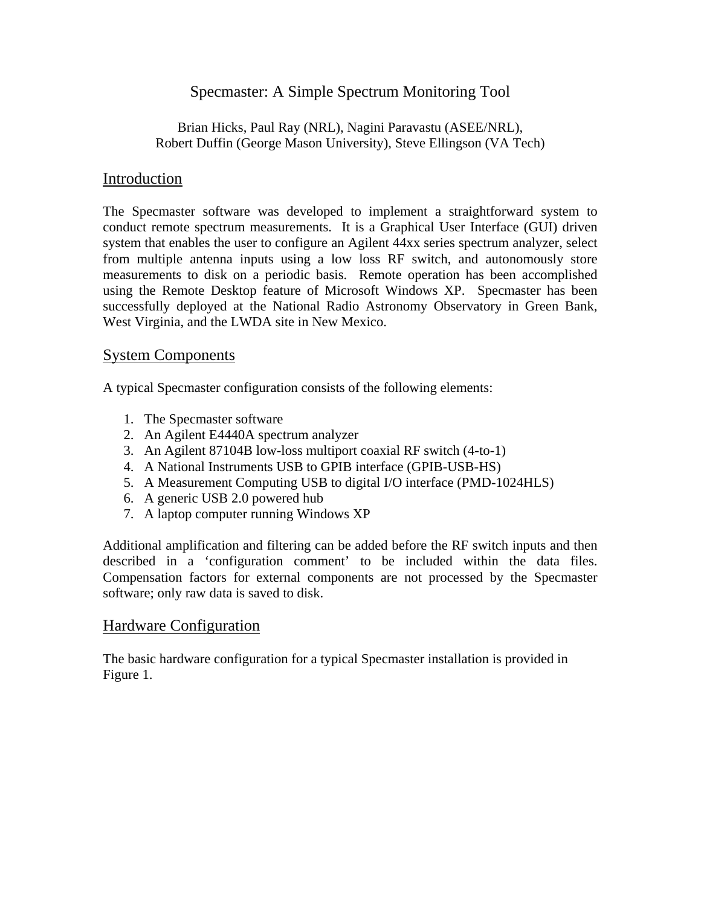# Specmaster: A Simple Spectrum Monitoring Tool

### Brian Hicks, Paul Ray (NRL), Nagini Paravastu (ASEE/NRL), Robert Duffin (George Mason University), Steve Ellingson (VA Tech)

## Introduction

The Specmaster software was developed to implement a straightforward system to conduct remote spectrum measurements. It is a Graphical User Interface (GUI) driven system that enables the user to configure an Agilent 44xx series spectrum analyzer, select from multiple antenna inputs using a low loss RF switch, and autonomously store measurements to disk on a periodic basis. Remote operation has been accomplished using the Remote Desktop feature of Microsoft Windows XP. Specmaster has been successfully deployed at the National Radio Astronomy Observatory in Green Bank, West Virginia, and the LWDA site in New Mexico.

## System Components

A typical Specmaster configuration consists of the following elements:

- 1. The Specmaster software
- 2. An Agilent E4440A spectrum analyzer
- 3. An Agilent 87104B low-loss multiport coaxial RF switch (4-to-1)
- 4. A National Instruments USB to GPIB interface (GPIB-USB-HS)
- 5. A Measurement Computing USB to digital I/O interface (PMD-1024HLS)
- 6. A generic USB 2.0 powered hub
- 7. A laptop computer running Windows XP

Additional amplification and filtering can be added before the RF switch inputs and then described in a 'configuration comment' to be included within the data files. Compensation factors for external components are not processed by the Specmaster software; only raw data is saved to disk.

### Hardware Configuration

The basic hardware configuration for a typical Specmaster installation is provided in Figure 1.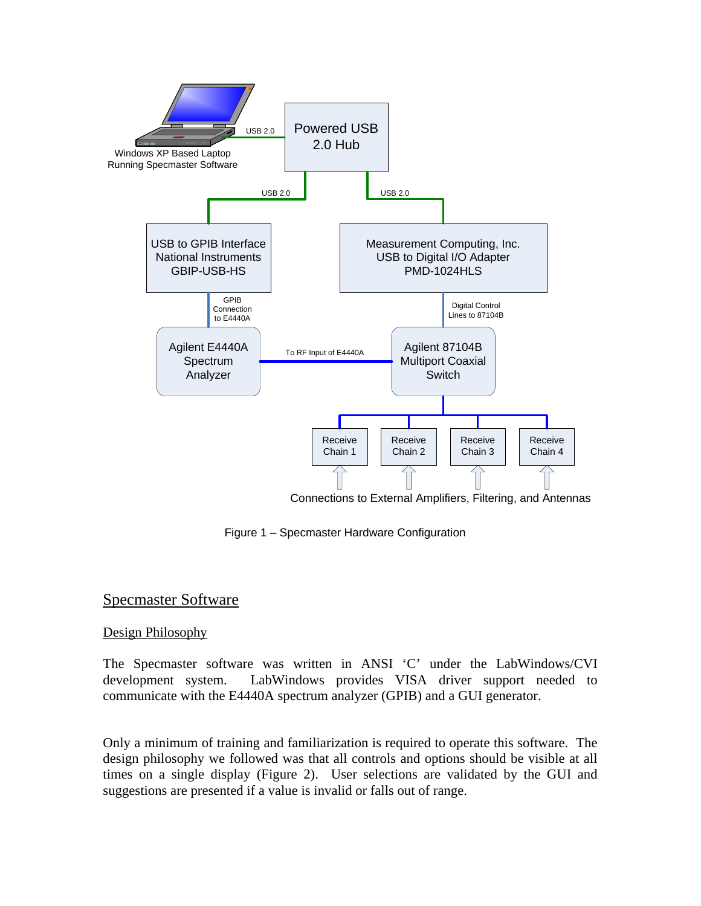

Connections to External Amplifiers, Filtering, and Antennas

Figure 1 – Specmaster Hardware Configuration

## Specmaster Software

#### Design Philosophy

The Specmaster software was written in ANSI 'C' under the LabWindows/CVI development system. LabWindows provides VISA driver support needed to communicate with the E4440A spectrum analyzer (GPIB) and a GUI generator.

Only a minimum of training and familiarization is required to operate this software. The design philosophy we followed was that all controls and options should be visible at all times on a single display (Figure 2). User selections are validated by the GUI and suggestions are presented if a value is invalid or falls out of range.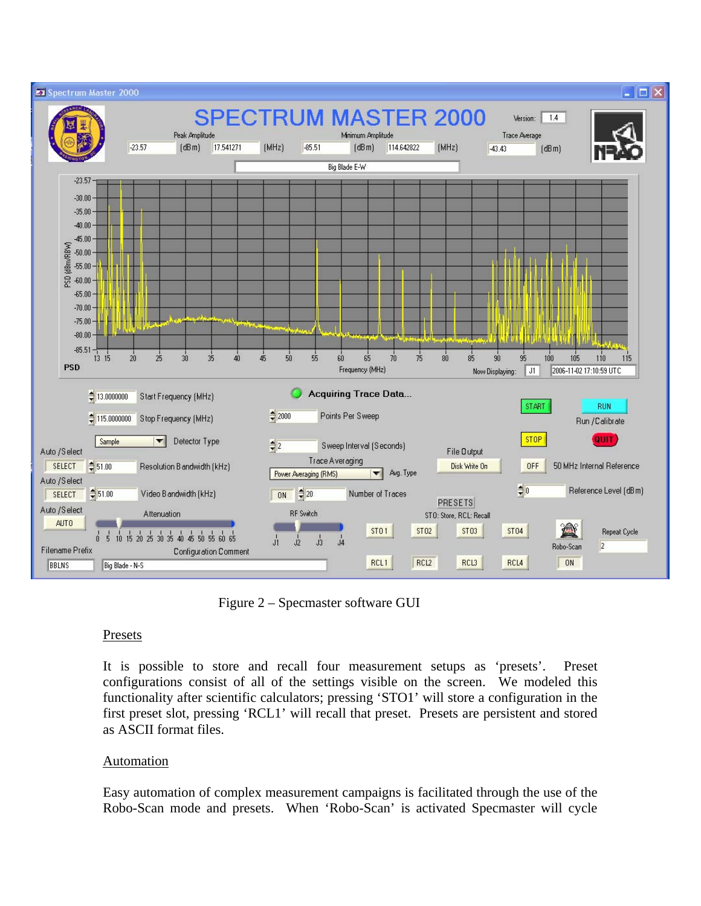

Figure 2 – Specmaster software GUI

#### **Presets**

It is possible to store and recall four measurement setups as 'presets'. Preset configurations consist of all of the settings visible on the screen. We modeled this functionality after scientific calculators; pressing 'STO1' will store a configuration in the first preset slot, pressing 'RCL1' will recall that preset. Presets are persistent and stored as ASCII format files.

### Automation

Easy automation of complex measurement campaigns is facilitated through the use of the Robo-Scan mode and presets. When 'Robo-Scan' is activated Specmaster will cycle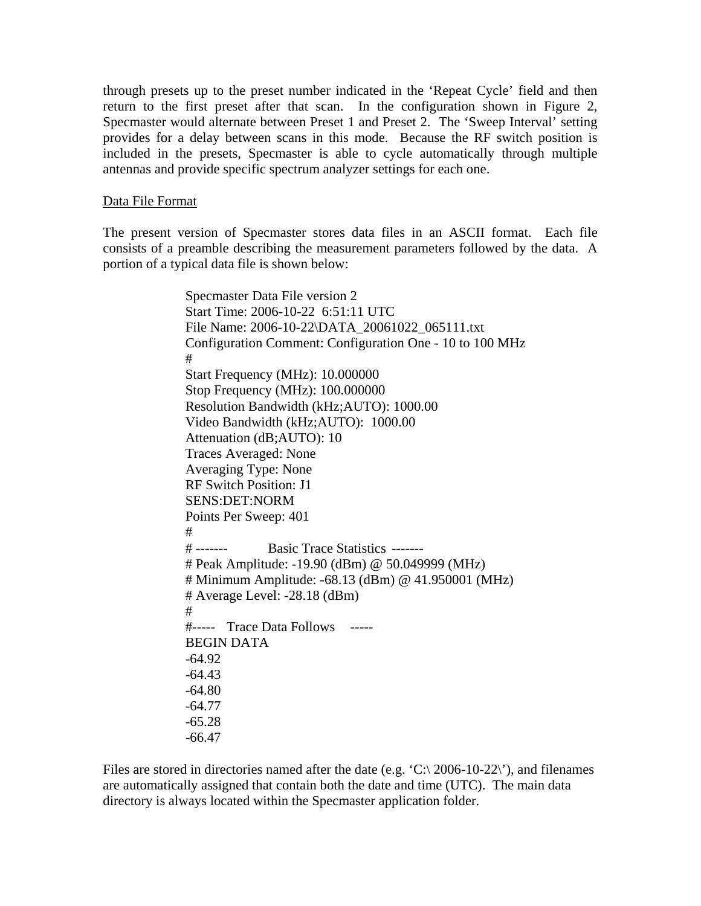through presets up to the preset number indicated in the 'Repeat Cycle' field and then return to the first preset after that scan. In the configuration shown in Figure 2, Specmaster would alternate between Preset 1 and Preset 2. The 'Sweep Interval' setting provides for a delay between scans in this mode. Because the RF switch position is included in the presets, Specmaster is able to cycle automatically through multiple antennas and provide specific spectrum analyzer settings for each one.

#### Data File Format

The present version of Specmaster stores data files in an ASCII format. Each file consists of a preamble describing the measurement parameters followed by the data. A portion of a typical data file is shown below:

> Specmaster Data File version 2 Start Time: 2006-10-22 6:51:11 UTC File Name: 2006-10-22\DATA\_20061022\_065111.txt Configuration Comment: Configuration One - 10 to 100 MHz # Start Frequency (MHz): 10.000000 Stop Frequency (MHz): 100.000000 Resolution Bandwidth (kHz;AUTO): 1000.00 Video Bandwidth (kHz;AUTO): 1000.00 Attenuation (dB;AUTO): 10 Traces Averaged: None Averaging Type: None RF Switch Position: J1 SENS:DET:NORM Points Per Sweep: 401 # # ------- Basic Trace Statistics ------- # Peak Amplitude: -19.90 (dBm) @ 50.049999 (MHz) # Minimum Amplitude: -68.13 (dBm) @ 41.950001 (MHz) # Average Level: -28.18 (dBm) # #----- Trace Data Follows ----- BEGIN DATA -64.92 -64.43 -64.80 -64.77 -65.28 -66.47

Files are stored in directories named after the date (e.g.  $\langle C \rangle$  2006-10-22 $\rangle$ ), and filenames are automatically assigned that contain both the date and time (UTC). The main data directory is always located within the Specmaster application folder.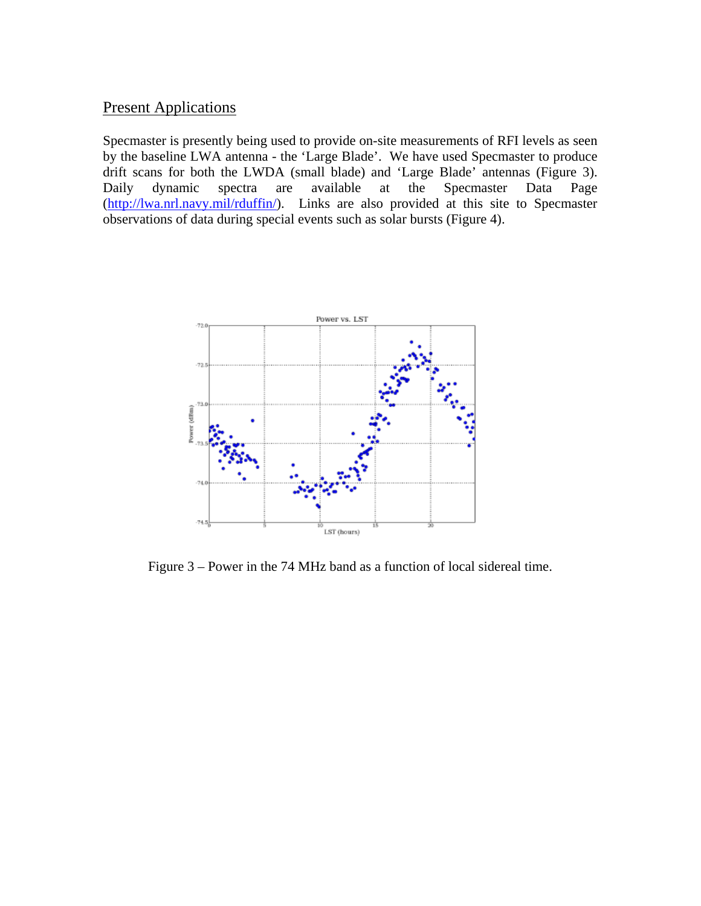### **Present Applications**

Specmaster is presently being used to provide on-site measurements of RFI levels as seen by the baseline LWA antenna - the 'Large Blade'. We have used Specmaster to produce drift scans for both the LWDA (small blade) and 'Large Blade' antennas (Figure 3). Daily dynamic spectra are available at the Specmaster Data Page (http://lwa.nrl.navy.mil/rduffin/). Links are also provided at this site to Specmaster observations of data during special events such as solar bursts (Figure 4).



Figure 3 – Power in the 74 MHz band as a function of local sidereal time.